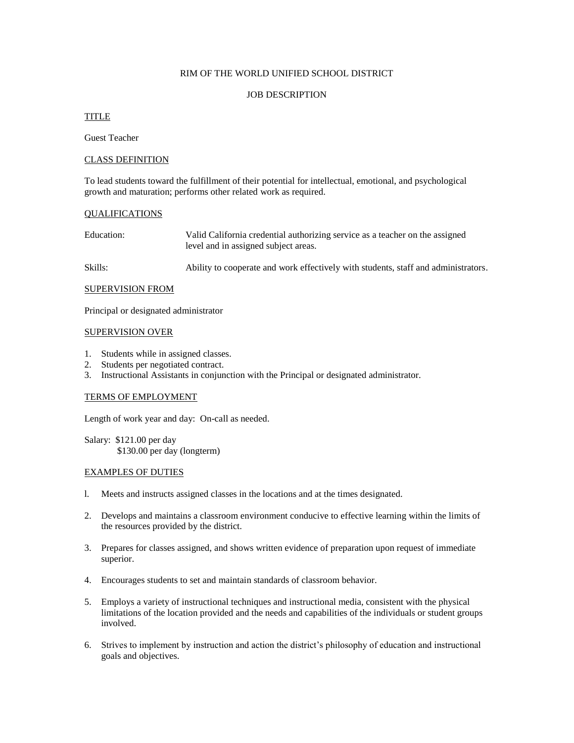## RIM OF THE WORLD UNIFIED SCHOOL DISTRICT

## JOB DESCRIPTION

# TITLE

Guest Teacher

# CLASS DEFINITION

To lead students toward the fulfillment of their potential for intellectual, emotional, and psychological growth and maturation; performs other related work as required.

#### QUALIFICATIONS

| Education: | Valid California credential authorizing service as a teacher on the assigned |
|------------|------------------------------------------------------------------------------|
|            | level and in assigned subject areas.                                         |

Skills: Ability to cooperate and work effectively with students, staff and administrators.

#### SUPERVISION FROM

Principal or designated administrator

#### SUPERVISION OVER

- 1. Students while in assigned classes.
- 2. Students per negotiated contract.
- 3. Instructional Assistants in conjunction with the Principal or designated administrator.

#### TERMS OF EMPLOYMENT

Length of work year and day: On-call as needed.

Salary: \$121.00 per day \$130.00 per day (longterm)

#### EXAMPLES OF DUTIES

- l. Meets and instructs assigned classes in the locations and at the times designated.
- 2. Develops and maintains a classroom environment conducive to effective learning within the limits of the resources provided by the district.
- 3. Prepares for classes assigned, and shows written evidence of preparation upon request of immediate superior.
- 4. Encourages students to set and maintain standards of classroom behavior.
- 5. Employs a variety of instructional techniques and instructional media, consistent with the physical limitations of the location provided and the needs and capabilities of the individuals or student groups involved.
- 6. Strives to implement by instruction and action the district's philosophy of education and instructional goals and objectives.